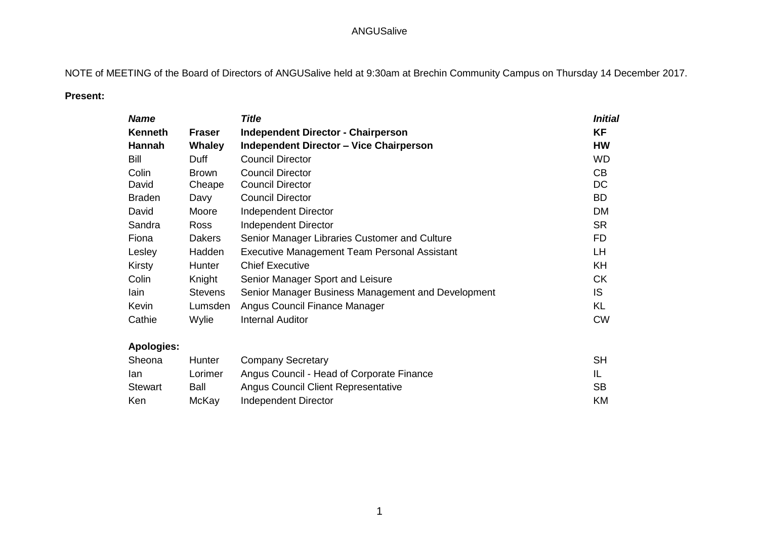NOTE of MEETING of the Board of Directors of ANGUSalive held at 9:30am at Brechin Community Campus on Thursday 14 December 2017.

#### **Present:**

| <b>Name</b>    |                | <b>Title</b>                                        |           | <b>Initial</b> |
|----------------|----------------|-----------------------------------------------------|-----------|----------------|
| <b>Kenneth</b> | <b>Fraser</b>  | <b>Independent Director - Chairperson</b>           | <b>KF</b> |                |
| Hannah         | Whaley         | <b>Independent Director - Vice Chairperson</b>      | <b>HW</b> |                |
| Bill           | Duff           | <b>Council Director</b>                             | <b>WD</b> |                |
| Colin          | <b>Brown</b>   | <b>Council Director</b>                             | CB        |                |
| David          | Cheape         | <b>Council Director</b>                             | DC        |                |
| <b>Braden</b>  | Davy           | <b>Council Director</b>                             | BD.       |                |
| David          | Moore          | Independent Director                                | <b>DM</b> |                |
| Sandra         | <b>Ross</b>    | Independent Director                                | <b>SR</b> |                |
| Fiona          | <b>Dakers</b>  | Senior Manager Libraries Customer and Culture       | FD.       |                |
| Lesley         | Hadden         | <b>Executive Management Team Personal Assistant</b> | LH        |                |
| Kirsty         | Hunter         | <b>Chief Executive</b>                              | KH        |                |
| Colin          | Knight         | Senior Manager Sport and Leisure                    | <b>CK</b> |                |
| lain           | <b>Stevens</b> | Senior Manager Business Management and Development  | IS.       |                |
| Kevin          | Lumsden        | Angus Council Finance Manager                       | KL        |                |
| Cathie         | Wylie          | <b>Internal Auditor</b>                             | <b>CW</b> |                |

## **Apologies:**

| Sheona         | Hunter  | <b>Company Secretary</b>                  | SН        |
|----------------|---------|-------------------------------------------|-----------|
| lan            | Lorimer | Angus Council - Head of Corporate Finance |           |
| <b>Stewart</b> | Ball    | Angus Council Client Representative       | <b>SB</b> |
| Ken            | McKav   | Independent Director                      | KM        |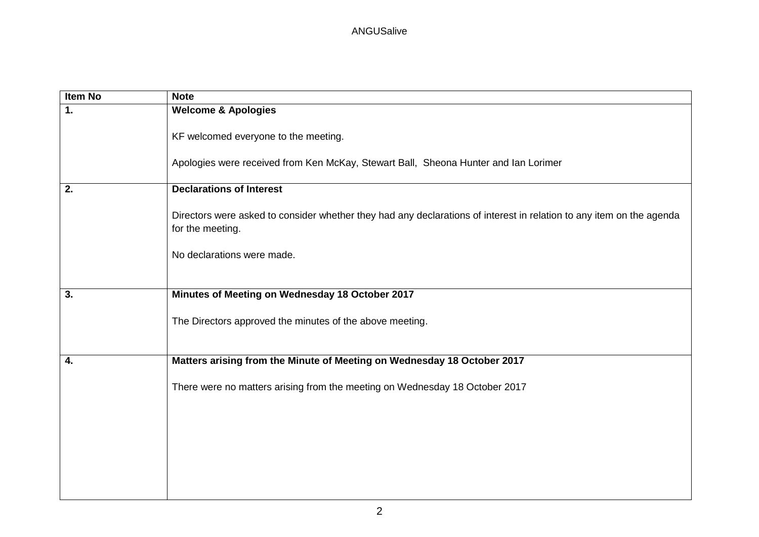| Item No | <b>Note</b>                                                                                                                              |
|---------|------------------------------------------------------------------------------------------------------------------------------------------|
| 1.      | <b>Welcome &amp; Apologies</b>                                                                                                           |
|         | KF welcomed everyone to the meeting.                                                                                                     |
|         | Apologies were received from Ken McKay, Stewart Ball, Sheona Hunter and Ian Lorimer                                                      |
| 2.      | <b>Declarations of Interest</b>                                                                                                          |
|         | Directors were asked to consider whether they had any declarations of interest in relation to any item on the agenda<br>for the meeting. |
|         | No declarations were made.                                                                                                               |
|         |                                                                                                                                          |
| 3.      | Minutes of Meeting on Wednesday 18 October 2017                                                                                          |
|         | The Directors approved the minutes of the above meeting.                                                                                 |
| 4.      | Matters arising from the Minute of Meeting on Wednesday 18 October 2017                                                                  |
|         |                                                                                                                                          |
|         | There were no matters arising from the meeting on Wednesday 18 October 2017                                                              |
|         |                                                                                                                                          |
|         |                                                                                                                                          |
|         |                                                                                                                                          |
|         |                                                                                                                                          |
|         |                                                                                                                                          |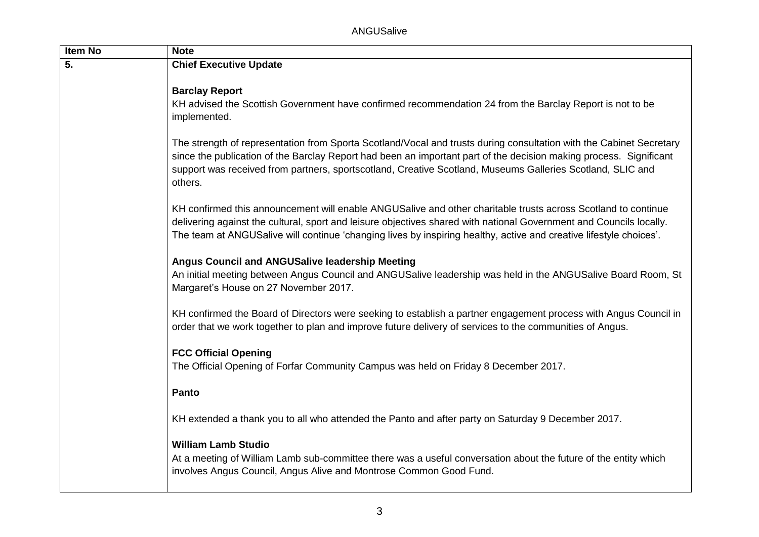| Item No | <b>Note</b>                                                                                                                                                                                                                                                                                                                                                        |
|---------|--------------------------------------------------------------------------------------------------------------------------------------------------------------------------------------------------------------------------------------------------------------------------------------------------------------------------------------------------------------------|
| 5.      | <b>Chief Executive Update</b>                                                                                                                                                                                                                                                                                                                                      |
|         | <b>Barclay Report</b><br>KH advised the Scottish Government have confirmed recommendation 24 from the Barclay Report is not to be<br>implemented.                                                                                                                                                                                                                  |
|         | The strength of representation from Sporta Scotland/Vocal and trusts during consultation with the Cabinet Secretary<br>since the publication of the Barclay Report had been an important part of the decision making process. Significant<br>support was received from partners, sportscotland, Creative Scotland, Museums Galleries Scotland, SLIC and<br>others. |
|         | KH confirmed this announcement will enable ANGUSalive and other charitable trusts across Scotland to continue<br>delivering against the cultural, sport and leisure objectives shared with national Government and Councils locally.<br>The team at ANGUSalive will continue 'changing lives by inspiring healthy, active and creative lifestyle choices'.         |
|         | Angus Council and ANGUSalive leadership Meeting<br>An initial meeting between Angus Council and ANGUSalive leadership was held in the ANGUSalive Board Room, St<br>Margaret's House on 27 November 2017.                                                                                                                                                           |
|         | KH confirmed the Board of Directors were seeking to establish a partner engagement process with Angus Council in<br>order that we work together to plan and improve future delivery of services to the communities of Angus.                                                                                                                                       |
|         | <b>FCC Official Opening</b><br>The Official Opening of Forfar Community Campus was held on Friday 8 December 2017.                                                                                                                                                                                                                                                 |
|         | Panto                                                                                                                                                                                                                                                                                                                                                              |
|         | KH extended a thank you to all who attended the Panto and after party on Saturday 9 December 2017.                                                                                                                                                                                                                                                                 |
|         | <b>William Lamb Studio</b><br>At a meeting of William Lamb sub-committee there was a useful conversation about the future of the entity which<br>involves Angus Council, Angus Alive and Montrose Common Good Fund.                                                                                                                                                |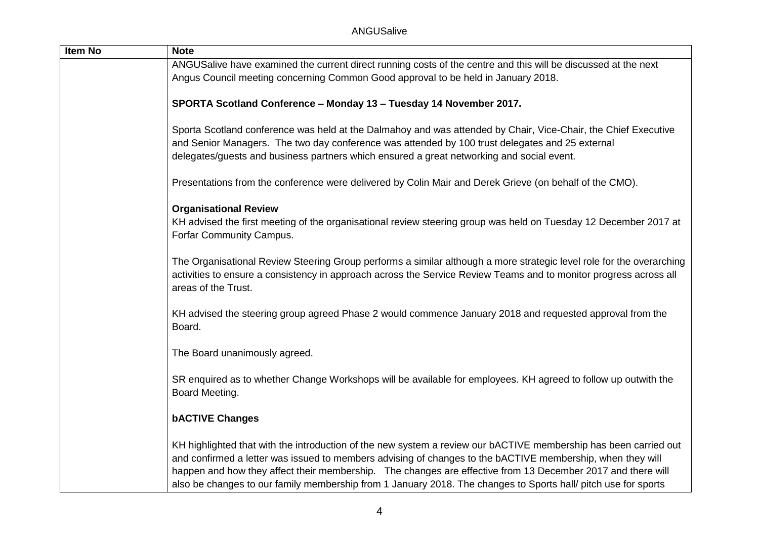| <b>Item No</b> | <b>Note</b>                                                                                                                                                                                                                                                                                                                                                                                                                                                     |
|----------------|-----------------------------------------------------------------------------------------------------------------------------------------------------------------------------------------------------------------------------------------------------------------------------------------------------------------------------------------------------------------------------------------------------------------------------------------------------------------|
|                | ANGUSalive have examined the current direct running costs of the centre and this will be discussed at the next                                                                                                                                                                                                                                                                                                                                                  |
|                | Angus Council meeting concerning Common Good approval to be held in January 2018.                                                                                                                                                                                                                                                                                                                                                                               |
|                | SPORTA Scotland Conference - Monday 13 - Tuesday 14 November 2017.                                                                                                                                                                                                                                                                                                                                                                                              |
|                | Sporta Scotland conference was held at the Dalmahoy and was attended by Chair, Vice-Chair, the Chief Executive<br>and Senior Managers. The two day conference was attended by 100 trust delegates and 25 external<br>delegates/guests and business partners which ensured a great networking and social event.                                                                                                                                                  |
|                | Presentations from the conference were delivered by Colin Mair and Derek Grieve (on behalf of the CMO).                                                                                                                                                                                                                                                                                                                                                         |
|                | <b>Organisational Review</b><br>KH advised the first meeting of the organisational review steering group was held on Tuesday 12 December 2017 at<br>Forfar Community Campus.                                                                                                                                                                                                                                                                                    |
|                | The Organisational Review Steering Group performs a similar although a more strategic level role for the overarching<br>activities to ensure a consistency in approach across the Service Review Teams and to monitor progress across all<br>areas of the Trust.                                                                                                                                                                                                |
|                | KH advised the steering group agreed Phase 2 would commence January 2018 and requested approval from the<br>Board.                                                                                                                                                                                                                                                                                                                                              |
|                | The Board unanimously agreed.                                                                                                                                                                                                                                                                                                                                                                                                                                   |
|                | SR enquired as to whether Change Workshops will be available for employees. KH agreed to follow up outwith the<br>Board Meeting.                                                                                                                                                                                                                                                                                                                                |
|                | <b>bACTIVE Changes</b>                                                                                                                                                                                                                                                                                                                                                                                                                                          |
|                | KH highlighted that with the introduction of the new system a review our bACTIVE membership has been carried out<br>and confirmed a letter was issued to members advising of changes to the bACTIVE membership, when they will<br>happen and how they affect their membership. The changes are effective from 13 December 2017 and there will<br>also be changes to our family membership from 1 January 2018. The changes to Sports hall/ pitch use for sports |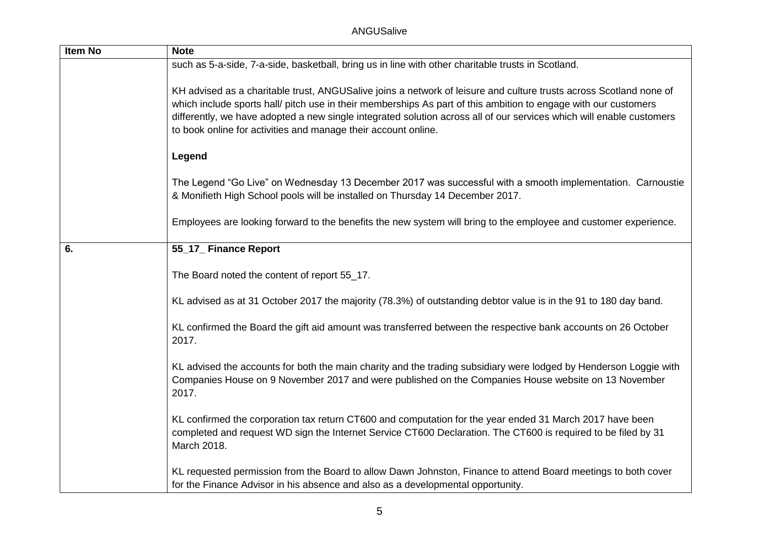| Item No | <b>Note</b>                                                                                                                                                                                                                                                                                                                                                                                                                     |
|---------|---------------------------------------------------------------------------------------------------------------------------------------------------------------------------------------------------------------------------------------------------------------------------------------------------------------------------------------------------------------------------------------------------------------------------------|
|         | such as 5-a-side, 7-a-side, basketball, bring us in line with other charitable trusts in Scotland.                                                                                                                                                                                                                                                                                                                              |
|         | KH advised as a charitable trust, ANGUSalive joins a network of leisure and culture trusts across Scotland none of<br>which include sports hall/ pitch use in their memberships As part of this ambition to engage with our customers<br>differently, we have adopted a new single integrated solution across all of our services which will enable customers<br>to book online for activities and manage their account online. |
|         | Legend                                                                                                                                                                                                                                                                                                                                                                                                                          |
|         | The Legend "Go Live" on Wednesday 13 December 2017 was successful with a smooth implementation. Carnoustie<br>& Monifieth High School pools will be installed on Thursday 14 December 2017.                                                                                                                                                                                                                                     |
|         | Employees are looking forward to the benefits the new system will bring to the employee and customer experience.                                                                                                                                                                                                                                                                                                                |
| 6.      | 55_17_ Finance Report                                                                                                                                                                                                                                                                                                                                                                                                           |
|         | The Board noted the content of report 55_17.                                                                                                                                                                                                                                                                                                                                                                                    |
|         | KL advised as at 31 October 2017 the majority (78.3%) of outstanding debtor value is in the 91 to 180 day band.                                                                                                                                                                                                                                                                                                                 |
|         | KL confirmed the Board the gift aid amount was transferred between the respective bank accounts on 26 October<br>2017.                                                                                                                                                                                                                                                                                                          |
|         | KL advised the accounts for both the main charity and the trading subsidiary were lodged by Henderson Loggie with<br>Companies House on 9 November 2017 and were published on the Companies House website on 13 November<br>2017.                                                                                                                                                                                               |
|         | KL confirmed the corporation tax return CT600 and computation for the year ended 31 March 2017 have been<br>completed and request WD sign the Internet Service CT600 Declaration. The CT600 is required to be filed by 31<br>March 2018.                                                                                                                                                                                        |
|         | KL requested permission from the Board to allow Dawn Johnston, Finance to attend Board meetings to both cover<br>for the Finance Advisor in his absence and also as a developmental opportunity.                                                                                                                                                                                                                                |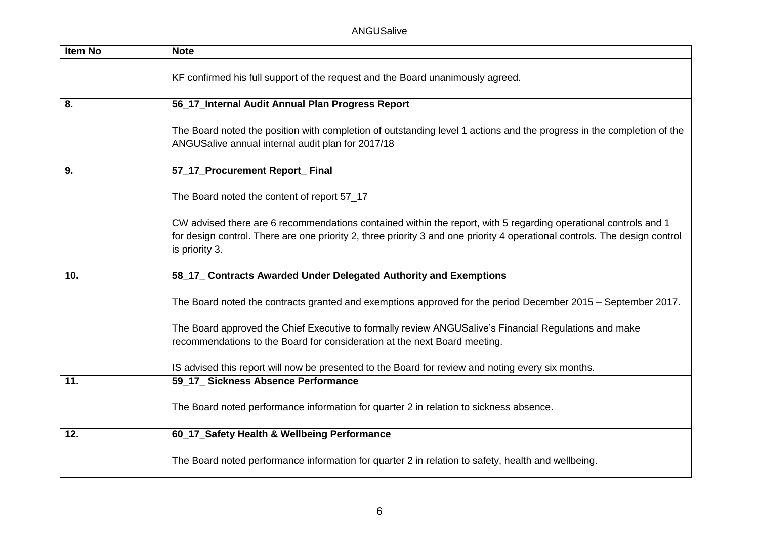ANGUSalive

| Item No | <b>Note</b>                                                                                                                                                                                                                                                     |
|---------|-----------------------------------------------------------------------------------------------------------------------------------------------------------------------------------------------------------------------------------------------------------------|
|         | KF confirmed his full support of the request and the Board unanimously agreed.                                                                                                                                                                                  |
| 8.      | 56_17_Internal Audit Annual Plan Progress Report                                                                                                                                                                                                                |
|         | The Board noted the position with completion of outstanding level 1 actions and the progress in the completion of the<br>ANGUSalive annual internal audit plan for 2017/18                                                                                      |
| 9.      | 57_17_Procurement Report_ Final                                                                                                                                                                                                                                 |
|         | The Board noted the content of report 57_17                                                                                                                                                                                                                     |
|         | CW advised there are 6 recommendations contained within the report, with 5 regarding operational controls and 1<br>for design control. There are one priority 2, three priority 3 and one priority 4 operational controls. The design control<br>is priority 3. |
| 10.     | 58_17_ Contracts Awarded Under Delegated Authority and Exemptions                                                                                                                                                                                               |
|         | The Board noted the contracts granted and exemptions approved for the period December 2015 - September 2017.                                                                                                                                                    |
|         | The Board approved the Chief Executive to formally review ANGUSalive's Financial Regulations and make<br>recommendations to the Board for consideration at the next Board meeting.                                                                              |
|         | IS advised this report will now be presented to the Board for review and noting every six months.                                                                                                                                                               |
| 11.     | 59_17_ Sickness Absence Performance                                                                                                                                                                                                                             |
|         | The Board noted performance information for quarter 2 in relation to sickness absence.                                                                                                                                                                          |
| 12.     | 60_17_Safety Health & Wellbeing Performance                                                                                                                                                                                                                     |
|         | The Board noted performance information for quarter 2 in relation to safety, health and wellbeing.                                                                                                                                                              |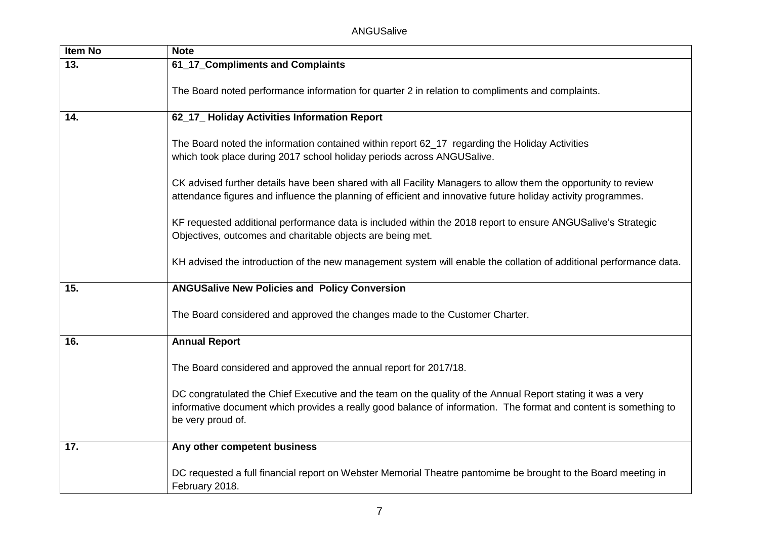| <b>Item No</b> | <b>Note</b>                                                                                                                                                                                                                                          |
|----------------|------------------------------------------------------------------------------------------------------------------------------------------------------------------------------------------------------------------------------------------------------|
| 13.            | 61_17_Compliments and Complaints                                                                                                                                                                                                                     |
|                | The Board noted performance information for quarter 2 in relation to compliments and complaints.                                                                                                                                                     |
| 14.            | 62_17_Holiday Activities Information Report                                                                                                                                                                                                          |
|                | The Board noted the information contained within report 62_17 regarding the Holiday Activities<br>which took place during 2017 school holiday periods across ANGUSalive.                                                                             |
|                | CK advised further details have been shared with all Facility Managers to allow them the opportunity to review<br>attendance figures and influence the planning of efficient and innovative future holiday activity programmes.                      |
|                | KF requested additional performance data is included within the 2018 report to ensure ANGUSalive's Strategic<br>Objectives, outcomes and charitable objects are being met.                                                                           |
|                | KH advised the introduction of the new management system will enable the collation of additional performance data.                                                                                                                                   |
| 15.            | <b>ANGUSalive New Policies and Policy Conversion</b>                                                                                                                                                                                                 |
|                | The Board considered and approved the changes made to the Customer Charter.                                                                                                                                                                          |
| 16.            | <b>Annual Report</b>                                                                                                                                                                                                                                 |
|                | The Board considered and approved the annual report for 2017/18.                                                                                                                                                                                     |
|                | DC congratulated the Chief Executive and the team on the quality of the Annual Report stating it was a very<br>informative document which provides a really good balance of information. The format and content is something to<br>be very proud of. |
| 17.            | Any other competent business                                                                                                                                                                                                                         |
|                | DC requested a full financial report on Webster Memorial Theatre pantomime be brought to the Board meeting in<br>February 2018.                                                                                                                      |